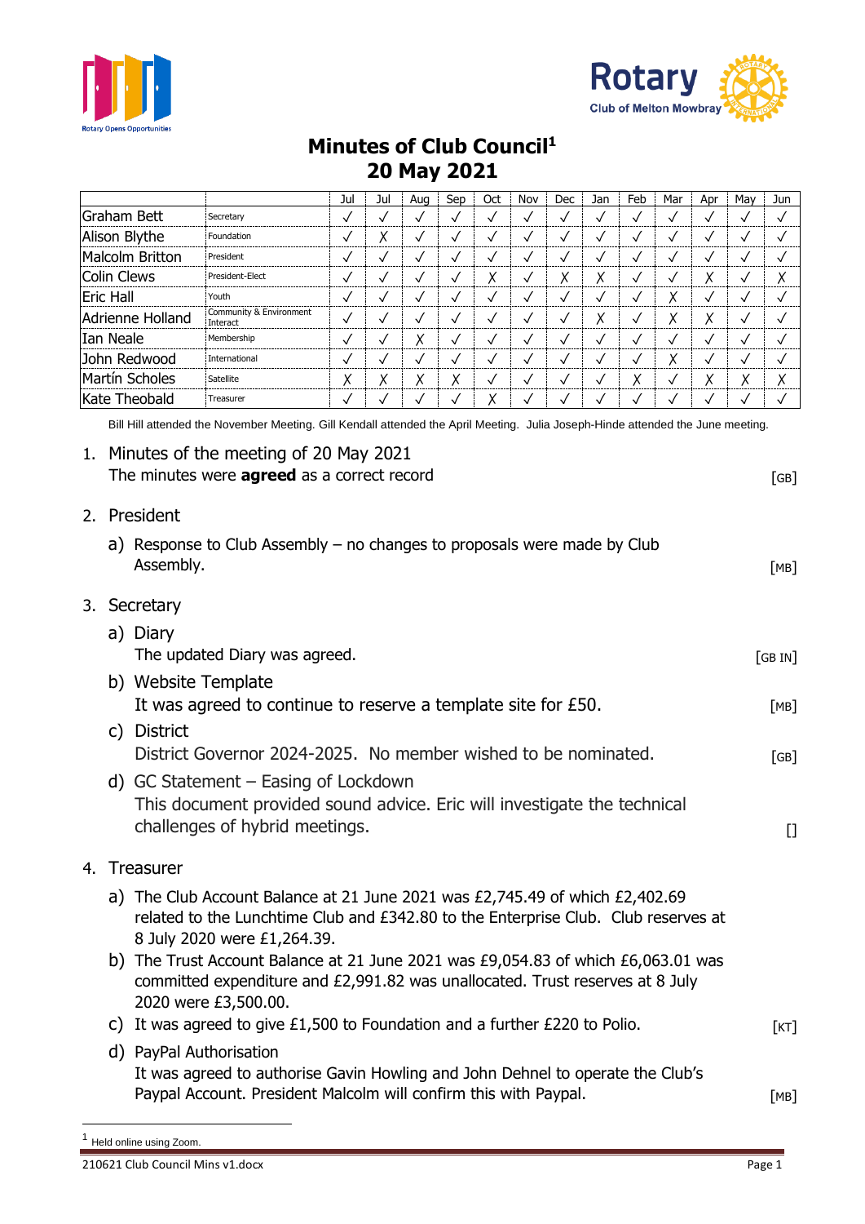



## **Minutes of Club Council<sup>1</sup> 20 May 2021**

|                                                                                                                                                                                                                                                                              |                                                                                                                                                                                                   |                                                                                                     |                                                                          | Jul          | Jul          | Aug          | Sep          | Oct          | Nov          | Dec          | Jan                                    | Feb          | Mar          | Apr          | May          | Jun          |
|------------------------------------------------------------------------------------------------------------------------------------------------------------------------------------------------------------------------------------------------------------------------------|---------------------------------------------------------------------------------------------------------------------------------------------------------------------------------------------------|-----------------------------------------------------------------------------------------------------|--------------------------------------------------------------------------|--------------|--------------|--------------|--------------|--------------|--------------|--------------|----------------------------------------|--------------|--------------|--------------|--------------|--------------|
| Graham Bett                                                                                                                                                                                                                                                                  |                                                                                                                                                                                                   |                                                                                                     | Secretary                                                                | $\checkmark$ | $\checkmark$ | $\checkmark$ | $\checkmark$ | $\checkmark$ | $\checkmark$ | $\checkmark$ | $\checkmark$                           | $\checkmark$ | $\checkmark$ | $\checkmark$ | $\checkmark$ | $\checkmark$ |
| Alison Blythe                                                                                                                                                                                                                                                                |                                                                                                                                                                                                   |                                                                                                     | Foundation                                                               | $\checkmark$ | χ            | $\checkmark$ | $\checkmark$ | $\checkmark$ | $\checkmark$ | $\checkmark$ | $\checkmark$                           | $\checkmark$ | $\checkmark$ | $\checkmark$ | $\checkmark$ | $\checkmark$ |
| <b>Malcolm Britton</b>                                                                                                                                                                                                                                                       |                                                                                                                                                                                                   |                                                                                                     | President                                                                | $\checkmark$ | $\checkmark$ | $\checkmark$ | $\checkmark$ | $\checkmark$ | $\checkmark$ | $\checkmark$ | $\checkmark$                           | $\checkmark$ | $\checkmark$ | $\checkmark$ | $\checkmark$ | $\checkmark$ |
| <b>Colin Clews</b>                                                                                                                                                                                                                                                           |                                                                                                                                                                                                   |                                                                                                     | President-Elect                                                          | $\checkmark$ | $\checkmark$ | $\checkmark$ | $\checkmark$ | Χ            | $\checkmark$ | Χ            | Χ                                      | $\checkmark$ | $\checkmark$ | Χ            | $\checkmark$ | Χ            |
| <b>Eric Hall</b>                                                                                                                                                                                                                                                             |                                                                                                                                                                                                   |                                                                                                     | Youth                                                                    | $\checkmark$ | $\checkmark$ | $\checkmark$ | $\checkmark$ | $\checkmark$ | $\checkmark$ | $\checkmark$ | $\checkmark$                           | $\checkmark$ | Х            | $\checkmark$ | $\checkmark$ | $\checkmark$ |
| Adrienne Holland                                                                                                                                                                                                                                                             |                                                                                                                                                                                                   |                                                                                                     | Community & Environment<br>Interact                                      | $\checkmark$ | $\checkmark$ | $\checkmark$ | $\checkmark$ | $\checkmark$ | $\checkmark$ | $\checkmark$ | Χ                                      | $\checkmark$ | Χ            | Χ            | $\checkmark$ | $\checkmark$ |
| Ian Neale                                                                                                                                                                                                                                                                    |                                                                                                                                                                                                   |                                                                                                     | Membership                                                               | $\checkmark$ | $\checkmark$ | Χ            | $\checkmark$ | $\checkmark$ | $\checkmark$ | $\checkmark$ | $\checkmark$                           | $\checkmark$ | $\checkmark$ | $\checkmark$ | $\checkmark$ | $\checkmark$ |
| John Redwood                                                                                                                                                                                                                                                                 |                                                                                                                                                                                                   |                                                                                                     | International                                                            | $\checkmark$ | $\checkmark$ | $\checkmark$ | $\checkmark$ | $\checkmark$ | $\checkmark$ | $\checkmark$ | $\checkmark$                           | $\checkmark$ | Χ            | $\checkmark$ | $\checkmark$ | $\checkmark$ |
| Martín Scholes                                                                                                                                                                                                                                                               |                                                                                                                                                                                                   |                                                                                                     | Satellite                                                                | Χ            | Χ            | Χ            | Χ            | $\checkmark$ | $\checkmark$ | $\checkmark$ | $\checkmark$                           | Χ            | $\checkmark$ | Χ            | Χ            | χ            |
| Kate Theobald                                                                                                                                                                                                                                                                |                                                                                                                                                                                                   |                                                                                                     | Treasurer                                                                | ✓            | ✓            | ✓            | ✓            | Χ            | $\checkmark$ | $\checkmark$ | $\checkmark$                           | $\checkmark$ | ✓            | ✓            | ✓            | $\checkmark$ |
|                                                                                                                                                                                                                                                                              | Bill Hill attended the November Meeting. Gill Kendall attended the April Meeting. Julia Joseph-Hinde attended the June meeting.                                                                   |                                                                                                     |                                                                          |              |              |              |              |              |              |              |                                        |              |              |              |              |              |
| 1.                                                                                                                                                                                                                                                                           |                                                                                                                                                                                                   | Minutes of the meeting of 20 May 2021<br>The minutes were <b>agreed</b> as a correct record<br>[GB] |                                                                          |              |              |              |              |              |              |              |                                        |              |              |              |              |              |
| 2.                                                                                                                                                                                                                                                                           |                                                                                                                                                                                                   | President<br>Assembly.                                                                              | a) Response to Club Assembly – no changes to proposals were made by Club |              |              |              |              |              |              |              |                                        |              |              |              |              | [MB]         |
| 3.                                                                                                                                                                                                                                                                           | Secretary                                                                                                                                                                                         |                                                                                                     |                                                                          |              |              |              |              |              |              |              |                                        |              |              |              |              |              |
|                                                                                                                                                                                                                                                                              | a) Diary                                                                                                                                                                                          |                                                                                                     |                                                                          |              |              |              |              |              |              |              |                                        |              |              |              |              |              |
|                                                                                                                                                                                                                                                                              | The updated Diary was agreed.<br>b) Website Template<br>It was agreed to continue to reserve a template site for £50.                                                                             |                                                                                                     |                                                                          |              |              |              |              |              |              |              |                                        | [GBIN]       |              |              |              |              |
|                                                                                                                                                                                                                                                                              |                                                                                                                                                                                                   |                                                                                                     |                                                                          |              |              |              |              |              |              |              |                                        |              |              |              |              |              |
|                                                                                                                                                                                                                                                                              |                                                                                                                                                                                                   |                                                                                                     |                                                                          |              |              |              |              |              |              |              | [MB]                                   |              |              |              |              |              |
|                                                                                                                                                                                                                                                                              | <b>District</b><br>$\mathsf{C}$                                                                                                                                                                   |                                                                                                     |                                                                          |              |              |              |              |              |              |              |                                        |              |              |              |              |              |
|                                                                                                                                                                                                                                                                              | District Governor 2024-2025. No member wished to be nominated.                                                                                                                                    |                                                                                                     |                                                                          |              |              |              |              |              |              | [GB]         |                                        |              |              |              |              |              |
|                                                                                                                                                                                                                                                                              | d) GC Statement – Easing of Lockdown<br>This document provided sound advice. Eric will investigate the technical<br>challenges of hybrid meetings.                                                |                                                                                                     |                                                                          |              |              |              |              |              |              |              | $\begin{array}{c} \square \end{array}$ |              |              |              |              |              |
| Treasurer<br>4.                                                                                                                                                                                                                                                              |                                                                                                                                                                                                   |                                                                                                     |                                                                          |              |              |              |              |              |              |              |                                        |              |              |              |              |              |
|                                                                                                                                                                                                                                                                              | a) The Club Account Balance at 21 June 2021 was £2,745.49 of which £2,402.69<br>related to the Lunchtime Club and £342.80 to the Enterprise Club. Club reserves at<br>8 July 2020 were £1,264.39. |                                                                                                     |                                                                          |              |              |              |              |              |              |              |                                        |              |              |              |              |              |
| b) The Trust Account Balance at 21 June 2021 was £9,054.83 of which £6,063.01 was<br>committed expenditure and £2,991.82 was unallocated. Trust reserves at 8 July<br>2020 were £3,500.00.<br>c) It was agreed to give $£1,500$ to Foundation and a further $£220$ to Polio. |                                                                                                                                                                                                   |                                                                                                     |                                                                          |              |              |              |              |              |              |              |                                        |              |              |              |              |              |
|                                                                                                                                                                                                                                                                              |                                                                                                                                                                                                   |                                                                                                     |                                                                          |              |              |              |              |              |              |              |                                        |              |              | [KT]         |              |              |
|                                                                                                                                                                                                                                                                              | d) PayPal Authorisation<br>It was agreed to authorise Gavin Howling and John Dehnel to operate the Club's<br>Paypal Account. President Malcolm will confirm this with Paypal.                     |                                                                                                     |                                                                          |              |              |              |              |              |              |              |                                        |              | [MB]         |              |              |              |

<sup>1</sup> Held online using Zoom.